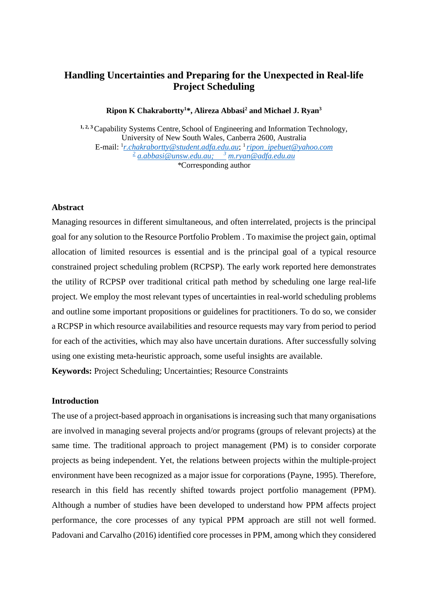# **Handling Uncertainties and Preparing for the Unexpected in Real-life Project Scheduling**

**Ripon K Chakrabortty1 \*, Alireza Abbasi2 and Michael J. Ryan3**

**1, 2, 3** Capability Systems Centre, School of Engineering and Information Technology, University of New South Wales, Canberra 2600, Australia E-mail: 1 *[r.chakrabortty@student.adfa.edu.au](mailto:r.chakrabortty@student.adfa.edu.au)*; 1 *[ripon\\_ipebuet@yahoo.com](mailto:ripon_ipebuet@yahoo.com) <sup>2</sup> [a.abbasi@unsw.edu.au;](mailto:2r.sarker@adfa.edu.au) <sup>3</sup> [m.ryan@adfa.edu.au](mailto:3d.essam@adfa.edu.au) \**Corresponding author

### **Abstract**

Managing resources in different simultaneous, and often interrelated, projects is the principal goal for any solution to the Resource Portfolio Problem . To maximise the project gain, optimal allocation of limited resources is essential and is the principal goal of a typical resource constrained project scheduling problem (RCPSP). The early work reported here demonstrates the utility of RCPSP over traditional critical path method by scheduling one large real-life project. We employ the most relevant types of uncertainties in real-world scheduling problems and outline some important propositions or guidelines for practitioners. To do so, we consider a RCPSP in which resource availabilities and resource requests may vary from period to period for each of the activities, which may also have uncertain durations. After successfully solving using one existing meta-heuristic approach, some useful insights are available.

**Keywords:** Project Scheduling; Uncertainties; Resource Constraints

## **Introduction**

The use of a project-based approach in organisations is increasing such that many organisations are involved in managing several projects and/or programs (groups of relevant projects) at the same time. The traditional approach to project management (PM) is to consider corporate projects as being independent. Yet, the relations between projects within the multiple-project environment have been recognized as a major issue for corporations (Payne, 1995). Therefore, research in this field has recently shifted towards project portfolio management (PPM). Although a number of studies have been developed to understand how PPM affects project performance, the core processes of any typical PPM approach are still not well formed. Padovani and Carvalho (2016) identified core processes in PPM, among which they considered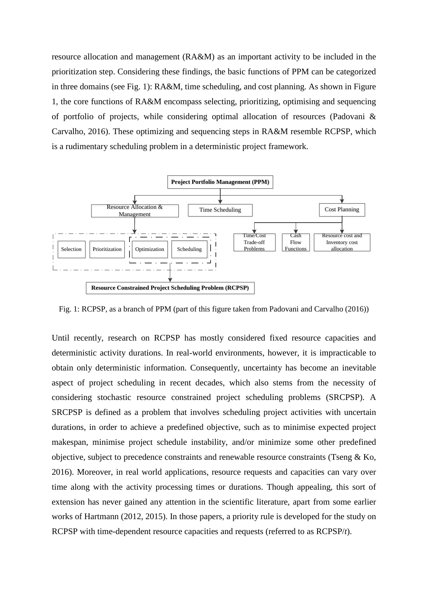resource allocation and management (RA&M) as an important activity to be included in the prioritization step. Considering these findings, the basic functions of PPM can be categorized in three domains (see Fig. 1): RA&M, time scheduling, and cost planning. As shown in Figure 1, the core functions of RA&M encompass selecting, prioritizing, optimising and sequencing of portfolio of projects, while considering optimal allocation of resources (Padovani & Carvalho, 2016). These optimizing and sequencing steps in RA&M resemble RCPSP, which is a rudimentary scheduling problem in a deterministic project framework.



Fig. 1: RCPSP, as a branch of PPM (part of this figure taken from Padovani and Carvalho (2016))

Until recently, research on RCPSP has mostly considered fixed resource capacities and deterministic activity durations. In real-world environments, however, it is impracticable to obtain only deterministic information. Consequently, uncertainty has become an inevitable aspect of project scheduling in recent decades, which also stems from the necessity of considering stochastic resource constrained project scheduling problems (SRCPSP). A SRCPSP is defined as a problem that involves scheduling project activities with uncertain durations, in order to achieve a predefined objective, such as to minimise expected project makespan, minimise project schedule instability, and/or minimize some other predefined objective, subject to precedence constraints and renewable resource constraints (Tseng & Ko, 2016). Moreover, in real world applications, resource requests and capacities can vary over time along with the activity processing times or durations. Though appealing, this sort of extension has never gained any attention in the scientific literature, apart from some earlier works of Hartmann (2012, 2015). In those papers, a priority rule is developed for the study on RCPSP with time-dependent resource capacities and requests (referred to as RCPSP/*t*).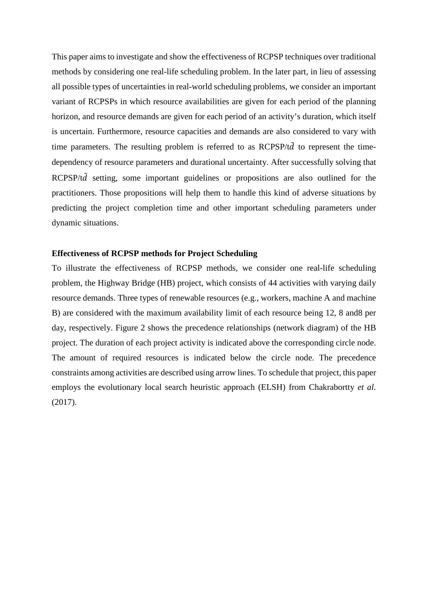This paper aims to investigate and show the effectiveness of RCPSP techniques over traditional methods by considering one real-life scheduling problem. In the later part, in lieu of assessing all possible types of uncertainties in real-world scheduling problems, we consider an important variant of RCPSPs in which resource availabilities are given for each period of the planning horizon, and resource demands are given for each period of an activity's duration, which itself is uncertain. Furthermore, resource capacities and demands are also considered to vary with time parameters. The resulting problem is referred to as  $RCPSP/t\tilde{d}$  to represent the timedependency of resource parameters and durational uncertainty. After successfully solving that RCPSP/t $\tilde{d}$  setting, some important guidelines or propositions are also outlined for the practitioners. Those propositions will help them to handle this kind of adverse situations by predicting the project completion time and other important scheduling parameters under dynamic situations.

### **Effectiveness of RCPSP methods for Project Scheduling**

To illustrate the effectiveness of RCPSP methods, we consider one real-life scheduling problem, the Highway Bridge (HB) project, which consists of 44 activities with varying daily resource demands. Three types of renewable resources (e.g., workers, machine A and machine B) are considered with the maximum availability limit of each resource being 12, 8 and8 per day, respectively. Figure 2 shows the precedence relationships (network diagram) of the HB project. The duration of each project activity is indicated above the corresponding circle node. The amount of required resources is indicated below the circle node. The precedence constraints among activities are described using arrow lines. To schedule that project, this paper employs the evolutionary local search heuristic approach (ELSH) from Chakrabortty *et al.* (2017).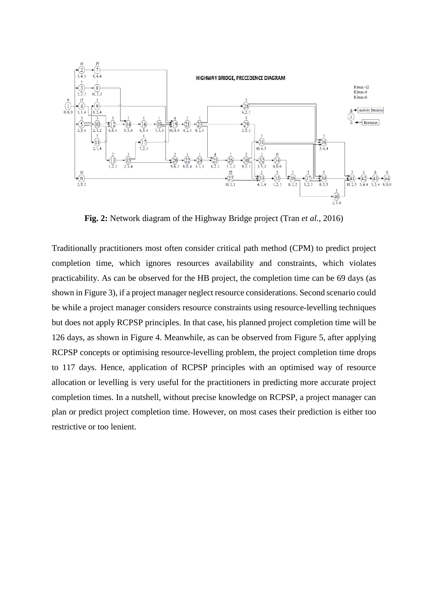

**Fig. 2:** Network diagram of the Highway Bridge project (Tran *et al.*, 2016)

Traditionally practitioners most often consider critical path method (CPM) to predict project completion time, which ignores resources availability and constraints, which violates practicability. As can be observed for the HB project, the completion time can be 69 days (as shown in Figure 3), if a project manager neglect resource considerations. Second scenario could be while a project manager considers resource constraints using resource-levelling techniques but does not apply RCPSP principles. In that case, his planned project completion time will be 126 days, as shown in Figure 4. Meanwhile, as can be observed from Figure 5, after applying RCPSP concepts or optimising resource-levelling problem, the project completion time drops to 117 days. Hence, application of RCPSP principles with an optimised way of resource allocation or levelling is very useful for the practitioners in predicting more accurate project completion times. In a nutshell, without precise knowledge on RCPSP, a project manager can plan or predict project completion time. However, on most cases their prediction is either too restrictive or too lenient.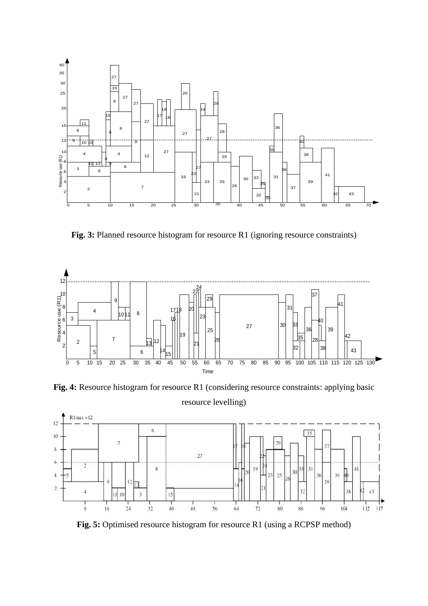

Fig. 3: Planned resource histogram for resource R1 (ignoring resource constraints)



**Fig. 4:** Resource histogram for resource R1 (considering resource constraints: applying basic resource levelling)



**Fig. 5:** Optimised resource histogram for resource R1 (using a RCPSP method)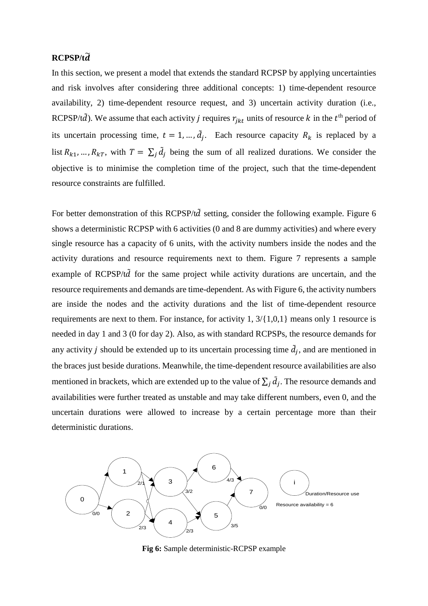# **RCPSP/t**�

In this section, we present a model that extends the standard RCPSP by applying uncertainties and risk involves after considering three additional concepts: 1) time-dependent resource availability, 2) time-dependent resource request, and 3) uncertain activity duration (i.e., RCPSP/t $\tilde{d}$ ). We assume that each activity *j* requires  $r_{ikt}$  units of resource *k* in the  $t<sup>th</sup>$  period of its uncertain processing time,  $t = 1, ..., d_j$ . Each resource capacity  $R_k$  is replaced by a list  $R_{k1}, ..., R_{kT}$ , with  $T = \sum_i \tilde{d}_i$  being the sum of all realized durations. We consider the objective is to minimise the completion time of the project, such that the time-dependent resource constraints are fulfilled.

For better demonstration of this RCPSP/t $\tilde{d}$  setting, consider the following example. Figure 6 shows a deterministic RCPSP with 6 activities (0 and 8 are dummy activities) and where every single resource has a capacity of 6 units, with the activity numbers inside the nodes and the activity durations and resource requirements next to them. Figure 7 represents a sample example of RCPSP/ $t\tilde{d}$  for the same project while activity durations are uncertain, and the resource requirements and demands are time-dependent. As with Figure 6, the activity numbers are inside the nodes and the activity durations and the list of time-dependent resource requirements are next to them. For instance, for activity 1, 3/{1,0,1} means only 1 resource is needed in day 1 and 3 (0 for day 2). Also, as with standard RCPSPs, the resource demands for any activity *j* should be extended up to its uncertain processing time  $\tilde{d}_j$ , and are mentioned in the braces just beside durations. Meanwhile, the time-dependent resource availabilities are also mentioned in brackets, which are extended up to the value of  $\sum_i \tilde{d}_i$ . The resource demands and availabilities were further treated as unstable and may take different numbers, even 0, and the uncertain durations were allowed to increase by a certain percentage more than their deterministic durations.



**Fig 6:** Sample deterministic-RCPSP example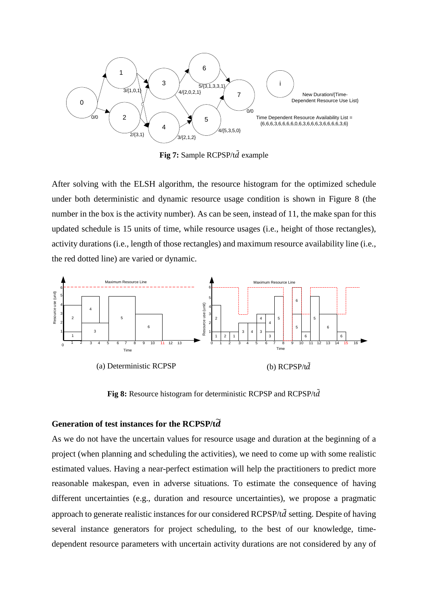

Fig 7: Sample RCPSP/td<sup>2</sup> example

After solving with the ELSH algorithm, the resource histogram for the optimized schedule under both deterministic and dynamic resource usage condition is shown in Figure 8 (the number in the box is the activity number). As can be seen, instead of 11, the make span for this updated schedule is 15 units of time, while resource usages (i.e., height of those rectangles), activity durations (i.e., length of those rectangles) and maximum resource availability line (i.e., the red dotted line) are varied or dynamic.



**Fig 8:** Resource histogram for deterministic RCPSP and RCPSP/t $\tilde{d}$ 

# **Generation of test instances for the RCPSP/t**�

As we do not have the uncertain values for resource usage and duration at the beginning of a project (when planning and scheduling the activities), we need to come up with some realistic estimated values. Having a near-perfect estimation will help the practitioners to predict more reasonable makespan, even in adverse situations. To estimate the consequence of having different uncertainties (e.g., duration and resource uncertainties), we propose a pragmatic approach to generate realistic instances for our considered RCPSP/t $\tilde{d}$  setting. Despite of having several instance generators for project scheduling, to the best of our knowledge, timedependent resource parameters with uncertain activity durations are not considered by any of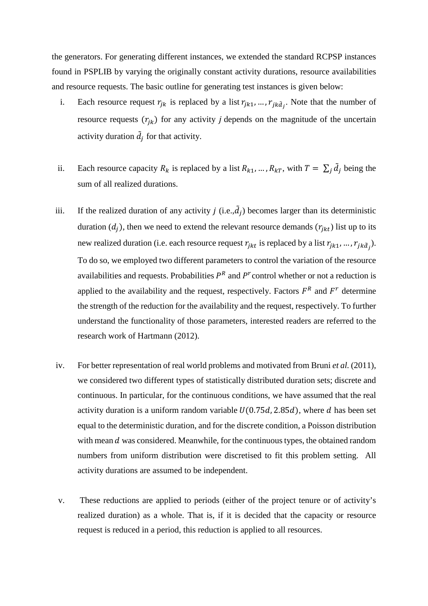the generators. For generating different instances, we extended the standard RCPSP instances found in PSPLIB by varying the originally constant activity durations, resource availabilities and resource requests. The basic outline for generating test instances is given below:

- i. Each resource request  $r_{jk}$  is replaced by a list  $r_{jk1}, \ldots, r_{jk\tilde{d}_j}$ . Note that the number of resource requests  $(r_{jk})$  for any activity *j* depends on the magnitude of the uncertain activity duration  $\tilde{d}_j$  for that activity.
- ii. Each resource capacity  $R_k$  is replaced by a list  $R_{k1}, ..., R_{kT}$ , with  $T = \sum_i \tilde{d}_i$  being the sum of all realized durations.
- iii. If the realized duration of any activity  $j$  (i.e., $\hat{d}_j$ ) becomes larger than its deterministic duration  $(d_j)$ , then we need to extend the relevant resource demands  $(r_{jkt})$  list up to its new realized duration (i.e. each resource request  $r_{jkt}$  is replaced by a list  $r_{jkt}$ , ...,  $r_{jk\tilde{d}_j}$ ). To do so, we employed two different parameters to control the variation of the resource availabilities and requests. Probabilities  $P<sup>R</sup>$  and  $P<sup>r</sup>$  control whether or not a reduction is applied to the availability and the request, respectively. Factors  $F<sup>R</sup>$  and  $F<sup>r</sup>$  determine the strength of the reduction for the availability and the request, respectively. To further understand the functionality of those parameters, interested readers are referred to the research work of Hartmann (2012).
- iv. For better representation of real world problems and motivated from Bruni *et al.* (2011), we considered two different types of statistically distributed duration sets; discrete and continuous. In particular, for the continuous conditions, we have assumed that the real activity duration is a uniform random variable  $U(0.75d, 2.85d)$ , where d has been set equal to the deterministic duration, and for the discrete condition, a Poisson distribution with mean  $d$  was considered. Meanwhile, for the continuous types, the obtained random numbers from uniform distribution were discretised to fit this problem setting. All activity durations are assumed to be independent.
- v. These reductions are applied to periods (either of the project tenure or of activity's realized duration) as a whole. That is, if it is decided that the capacity or resource request is reduced in a period, this reduction is applied to all resources.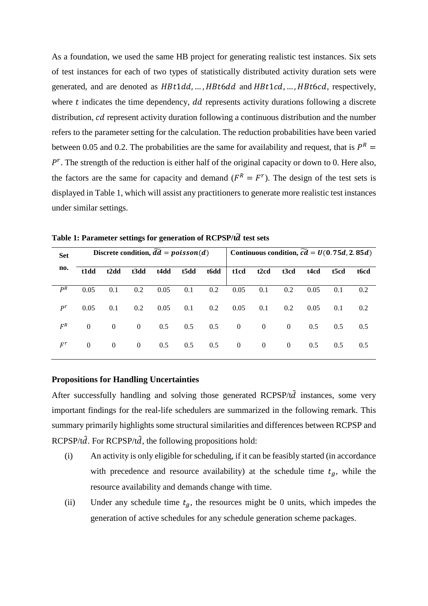As a foundation, we used the same HB project for generating realistic test instances. Six sets of test instances for each of two types of statistically distributed activity duration sets were generated, and are denoted as  $H B t 1 d d, ...$ ,  $H B t 6 d$  and  $H B t 1 c d, ...$ ,  $H B t 6 c d$ , respectively, where  $t$  indicates the time dependency,  $dd$  represents activity durations following a discrete distribution, *cd* represent activity duration following a continuous distribution and the number refers to the parameter setting for the calculation. The reduction probabilities have been varied between 0.05 and 0.2. The probabilities are the same for availability and request, that is  $P^R =$  $P^r$ . The strength of the reduction is either half of the original capacity or down to 0. Here also, the factors are the same for capacity and demand ( $F<sup>R</sup> = F<sup>r</sup>$ ). The design of the test sets is displayed in Table 1, which will assist any practitioners to generate more realistic test instances under similar settings.

| <b>Set</b> | Discrete condition, $\widetilde{dd} = \text{poisson}(d)$ |                               |                |      |      |      | Continuous condition, $\widetilde{cd} = U(0.75d, 2.85d)$ |                   |                |      |      |      |
|------------|----------------------------------------------------------|-------------------------------|----------------|------|------|------|----------------------------------------------------------|-------------------|----------------|------|------|------|
| no.        | t1dd                                                     | t <sub>2</sub> d <sub>d</sub> | t3dd           | t4dd | t5dd | t6dd | t1cd                                                     | t <sub>2</sub> cd | t3cd           | t4cd | t5cd | t6cd |
| $P^R$      | 0.05                                                     | 0.1                           | 0.2            | 0.05 | 0.1  | 0.2  | 0.05                                                     | 0.1               | 0.2            | 0.05 | 0.1  | 0.2  |
| $P^r$      | 0.05                                                     | 0.1                           | 0.2            | 0.05 | 0.1  | 0.2  | 0.05                                                     | 0.1               | 0.2            | 0.05 | 0.1  | 0.2  |
| $F^R$      | $\Omega$                                                 | $\overline{0}$                | $\overline{0}$ | 0.5  | 0.5  | 0.5  | $\overline{0}$                                           | $\overline{0}$    | $\overline{0}$ | 0.5  | 0.5  | 0.5  |
| $F^r$      | $\mathbf{0}$                                             | $\overline{0}$                | $\overline{0}$ | 0.5  | 0.5  | 0.5  | $\overline{0}$                                           | $\overline{0}$    | $\overline{0}$ | 0.5  | 0.5  | 0.5  |

**Table 1: Parameter settings for generation of RCPSP/t**� **test sets**

#### **Propositions for Handling Uncertainties**

After successfully handling and solving those generated  $RCPSP/t\tilde{d}$  instances, some very important findings for the real-life schedulers are summarized in the following remark. This summary primarily highlights some structural similarities and differences between RCPSP and  $RCPSP/t\tilde{d}$ . For  $RCPSP/t\tilde{d}$ , the following propositions hold:

- (i) An activity is only eligible for scheduling, if it can be feasibly started (in accordance with precedence and resource availability) at the schedule time  $t_a$ , while the resource availability and demands change with time.
- (ii) Under any schedule time  $t<sub>g</sub>$ , the resources might be 0 units, which impedes the generation of active schedules for any schedule generation scheme packages.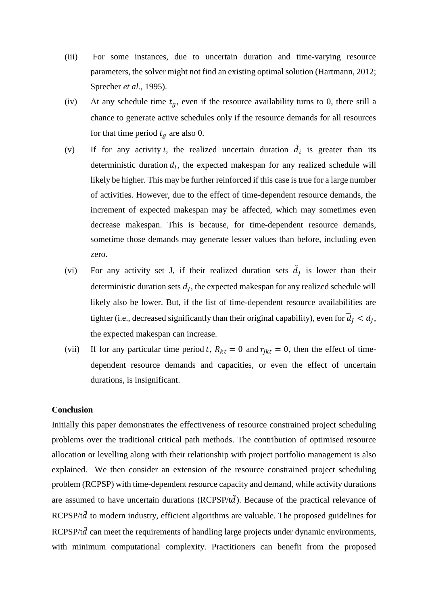- (iii) For some instances, due to uncertain duration and time-varying resource parameters, the solver might not find an existing optimal solution (Hartmann, 2012; Sprecher *et al.*, 1995).
- (iv) At any schedule time  $t_q$ , even if the resource availability turns to 0, there still a chance to generate active schedules only if the resource demands for all resources for that time period  $t<sub>q</sub>$  are also 0.
- (v) If for any activity *i*, the realized uncertain duration  $\dot{d}_i$  is greater than its deterministic duration  $d_i$ , the expected makespan for any realized schedule will likely be higher. This may be further reinforced if this case is true for a large number of activities. However, due to the effect of time-dependent resource demands, the increment of expected makespan may be affected, which may sometimes even decrease makespan. This is because, for time-dependent resource demands, sometime those demands may generate lesser values than before, including even zero.
- (vi) For any activity set J, if their realized duration sets  $d_j$  is lower than their deterministic duration sets  $d<sub>I</sub>$ , the expected makespan for any realized schedule will likely also be lower. But, if the list of time-dependent resource availabilities are tighter (i.e., decreased significantly than their original capability), even for  $d_j < d_j$ , the expected makespan can increase.
- (vii) If for any particular time period t,  $R_{kt} = 0$  and  $r_{ikt} = 0$ , then the effect of timedependent resource demands and capacities, or even the effect of uncertain durations, is insignificant.

### **Conclusion**

Initially this paper demonstrates the effectiveness of resource constrained project scheduling problems over the traditional critical path methods. The contribution of optimised resource allocation or levelling along with their relationship with project portfolio management is also explained. We then consider an extension of the resource constrained project scheduling problem (RCPSP) with time-dependent resource capacity and demand, while activity durations are assumed to have uncertain durations (RCPSP/t $\tilde{d}$ ). Because of the practical relevance of RCPSP/t $\tilde{d}$  to modern industry, efficient algorithms are valuable. The proposed guidelines for  $RCPSP/t\tilde{d}$  can meet the requirements of handling large projects under dynamic environments, with minimum computational complexity. Practitioners can benefit from the proposed